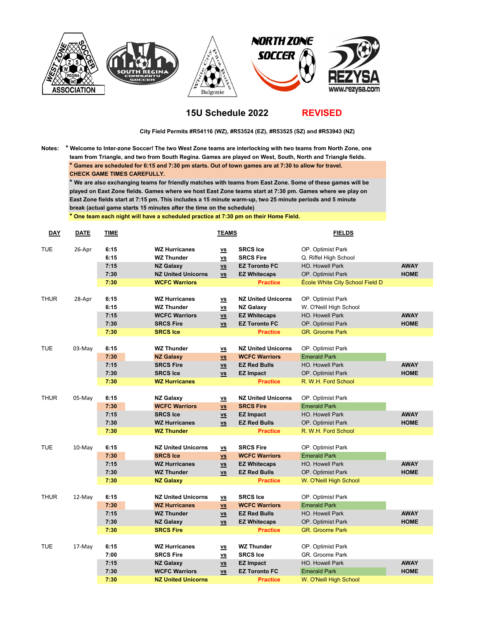

## **15U Schedule 2022**

**REVISED**

 **City Field Permits #R54116 (WZ), #R53524 (EZ), #R53525 (SZ) and #R53943 (NZ)**

**Notes: \* Welcome to Inter-zone Soccer! The two West Zone teams are interlocking with two teams from North Zone, one team from Triangle, and two from South Regina. Games are played on West, South, North and Triangle fields. \* Games are scheduled for 6:15 and 7:30 pm starts. Out of town games are at 7:30 to allow for travel. CHECK GAME TIMES CAREFULLY.**

**\* We are also exchanging teams for friendly matches with teams from East Zone. Some of these games will be played on East Zone fields. Games where we host East Zone teams start at 7:30 pm. Games where we play on East Zone fields start at 7:15 pm. This includes a 15 minute warm-up, two 25 minute periods and 5 minute break (actual game starts 15 minutes after the time on the schedule)**

**\* One team each night will have a scheduled practice at 7:30 pm on their Home Field.**

| <b>DAY</b>  | <b>DATE</b> | <b>TIME</b>  |                                           | <b>TEAMS</b>                                                    |                                             | <b>FIELDS</b>                              |             |
|-------------|-------------|--------------|-------------------------------------------|-----------------------------------------------------------------|---------------------------------------------|--------------------------------------------|-------------|
| <b>TUE</b>  | 26-Apr      | 6:15<br>6:15 | <b>WZ Hurricanes</b><br><b>WZ Thunder</b> | $\underline{\mathsf{v}\mathsf{s}}$<br>$\underline{\mathsf{vs}}$ | <b>SRCS Ice</b><br><b>SRCS Fire</b>         | OP. Optimist Park<br>Q. Riffel High School |             |
|             |             | 7:15         | <b>NZ Galaxy</b>                          | $\underline{\mathsf{vs}}$                                       | <b>EZ Toronto FC</b>                        | HO. Howell Park                            | <b>AWAY</b> |
|             |             | 7:30         | <b>NZ United Unicorns</b>                 | $\underline{\mathsf{v}\mathsf{s}}$                              | <b>EZ Whitecaps</b>                         | OP. Optimist Park                          | <b>HOME</b> |
|             |             | 7:30         | <b>WCFC Warriors</b>                      |                                                                 | <b>Practice</b>                             | École White City School Field D            |             |
|             |             |              |                                           |                                                                 |                                             |                                            |             |
| <b>THUR</b> | 28-Apr      | 6:15         | <b>WZ Hurricanes</b>                      | $\underline{\mathsf{vs}}$                                       | <b>NZ United Unicorns</b>                   | OP. Optimist Park                          |             |
|             |             | 6:15         | <b>WZ Thunder</b>                         | $\underline{v}\underline{s}$                                    | <b>NZ Galaxy</b>                            | W. O'Neill High School                     |             |
|             |             | 7:15         | <b>WCFC Warriors</b>                      | $\underline{v}\underline{s}$                                    | <b>EZ Whitecaps</b>                         | HO. Howell Park                            | <b>AWAY</b> |
|             |             | 7:30         | <b>SRCS Fire</b>                          | $\underline{\mathsf{v}\mathsf{s}}$                              | <b>EZ Toronto FC</b>                        | OP. Optimist Park                          | <b>HOME</b> |
|             |             | 7:30         | <b>SRCS Ice</b>                           |                                                                 | <b>Practice</b>                             | <b>GR.</b> Groome Park                     |             |
| <b>TUE</b>  |             | 6:15         | <b>WZ Thunder</b>                         |                                                                 | <b>NZ United Unicorns</b>                   |                                            |             |
|             | 03-May      |              |                                           | $\underline{\mathbf{v}}$                                        |                                             | OP. Optimist Park                          |             |
|             |             | 7:30<br>7:15 | <b>NZ Galaxy</b><br><b>SRCS Fire</b>      | $\underline{v}\underline{s}$                                    | <b>WCFC Warriors</b><br><b>EZ Red Bulls</b> | <b>Emerald Park</b><br>HO. Howell Park     | <b>AWAY</b> |
|             |             | 7:30         | <b>SRCS Ice</b>                           | $\underline{\mathsf{v}\mathsf{s}}$                              |                                             |                                            | <b>HOME</b> |
|             |             | 7:30         | <b>WZ Hurricanes</b>                      | $\underline{\mathsf{v}\mathsf{s}}$                              | <b>EZ Impact</b><br><b>Practice</b>         | OP. Optimist Park<br>R. W.H. Ford School   |             |
|             |             |              |                                           |                                                                 |                                             |                                            |             |
| <b>THUR</b> | 05-May      | 6:15         | <b>NZ Galaxy</b>                          | $\underline{\mathsf{v}\mathsf{s}}$                              | <b>NZ United Unicorns</b>                   | OP. Optimist Park                          |             |
|             |             | 7:30         | <b>WCFC Warriors</b>                      | $\underline{VS}$                                                | <b>SRCS Fire</b>                            | <b>Emerald Park</b>                        |             |
|             |             | 7:15         | <b>SRCS Ice</b>                           | $\underline{v}\underline{s}$                                    | <b>EZ Impact</b>                            | HO. Howell Park                            | <b>AWAY</b> |
|             |             | 7:30         | <b>WZ Hurricanes</b>                      | $\underline{\mathsf{v}\mathsf{s}}$                              | <b>EZ Red Bulls</b>                         | OP. Optimist Park                          | <b>HOME</b> |
|             |             | 7:30         | <b>WZ Thunder</b>                         |                                                                 | <b>Practice</b>                             | R. W.H. Ford School                        |             |
|             |             |              |                                           |                                                                 |                                             |                                            |             |
| <b>TUE</b>  | 10-May      | 6:15         | <b>NZ United Unicorns</b>                 | $\underline{v}\underline{s}$                                    | <b>SRCS Fire</b>                            | OP. Optimist Park                          |             |
|             |             | 7:30         | <b>SRCS Ice</b>                           | $\underline{v}\underline{s}$                                    | <b>WCFC Warriors</b>                        | <b>Emerald Park</b>                        |             |
|             |             | 7:15         | <b>WZ Hurricanes</b>                      | $\underline{\mathsf{vs}}$                                       | <b>EZ Whitecaps</b>                         | <b>HO. Howell Park</b>                     | <b>AWAY</b> |
|             |             | 7:30         | <b>WZ Thunder</b>                         | $\underline{\mathsf{v}\mathsf{s}}$                              | <b>EZ Red Bulls</b>                         | OP. Optimist Park                          | <b>HOME</b> |
|             |             | 7:30         | <b>NZ Galaxy</b>                          |                                                                 | <b>Practice</b>                             | W. O'Neill High School                     |             |
|             |             |              |                                           |                                                                 |                                             |                                            |             |
| <b>THUR</b> | 12-May      | 6:15         | <b>NZ United Unicorns</b>                 | $\underline{\mathsf{v}\mathsf{s}}$                              | <b>SRCS Ice</b>                             | OP. Optimist Park                          |             |
|             |             | 7:30         | <b>WZ Hurricanes</b>                      | $\underline{\mathsf{vs}}$                                       | <b>WCFC Warriors</b>                        | <b>Emerald Park</b>                        |             |
|             |             | 7:15         | <b>WZ Thunder</b>                         | $\underline{vs}$                                                | <b>EZ Red Bulls</b>                         | HO. Howell Park                            | <b>AWAY</b> |
|             |             | 7:30         | <b>NZ Galaxy</b>                          | $\underline{\mathsf{v}\mathsf{s}}$                              | <b>EZ Whitecaps</b>                         | OP. Optimist Park                          | <b>HOME</b> |
|             |             | 7:30         | <b>SRCS Fire</b>                          |                                                                 | <b>Practice</b>                             | <b>GR.</b> Groome Park                     |             |
|             |             |              |                                           |                                                                 |                                             |                                            |             |
| <b>TUE</b>  | 17-May      | 6:15         | <b>WZ Hurricanes</b>                      | $\underline{\mathsf{vs}}$                                       | <b>WZ Thunder</b>                           | OP. Optimist Park                          |             |
|             |             | 7:00         | <b>SRCS Fire</b>                          | $\underline{\mathsf{v}\mathsf{s}}$                              | <b>SRCS Ice</b>                             | GR. Groome Park                            |             |
|             |             | 7:15         | <b>NZ Galaxy</b>                          | $\underline{\mathsf{vs}}$                                       | <b>EZ Impact</b>                            | HO. Howell Park                            | <b>AWAY</b> |
|             |             | 7:30         | <b>WCFC Warriors</b>                      | $\underline{\mathsf{v}\mathsf{s}}$                              | <b>EZ Toronto FC</b>                        | <b>Emerald Park</b>                        | <b>HOME</b> |
|             |             | 7:30         | <b>NZ United Unicorns</b>                 |                                                                 | <b>Practice</b>                             | W. O'Neill High School                     |             |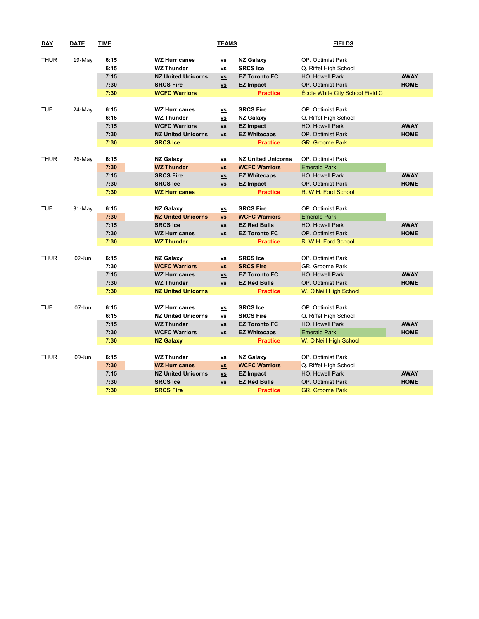| <b>DAY</b>  | <b>DATE</b> | <b>TIME</b>  | <b>TEAMS</b>                              |                                                                    |                                     | <b>FIELDS</b>                              |             |  |
|-------------|-------------|--------------|-------------------------------------------|--------------------------------------------------------------------|-------------------------------------|--------------------------------------------|-------------|--|
| <b>THUR</b> | 19-May      | 6:15<br>6:15 | <b>WZ Hurricanes</b><br><b>WZ Thunder</b> | $\underline{\mathsf{v}\mathsf{s}}$<br>$\underline{v}\underline{s}$ | <b>NZ Galaxy</b><br><b>SRCS Ice</b> | OP. Optimist Park<br>Q. Riffel High School |             |  |
|             |             | 7:15         | <b>NZ United Unicorns</b>                 | $\underline{\mathsf{vs}}$                                          | <b>EZ Toronto FC</b>                | HO. Howell Park                            | <b>AWAY</b> |  |
|             |             | 7:30         | <b>SRCS Fire</b>                          | $\underline{\mathsf{v}\mathsf{s}}$                                 | <b>EZ Impact</b>                    | OP. Optimist Park                          | <b>HOME</b> |  |
|             |             | 7:30         | <b>WCFC Warriors</b>                      |                                                                    | <b>Practice</b>                     | École White City School Field C            |             |  |
|             |             |              |                                           |                                                                    |                                     |                                            |             |  |
| <b>TUE</b>  | 24-May      | 6:15         | <b>WZ Hurricanes</b>                      | $\underline{\mathsf{v}\mathsf{s}}$                                 | <b>SRCS Fire</b>                    | OP. Optimist Park                          |             |  |
|             |             | 6:15         | <b>WZ Thunder</b>                         | $\underline{\mathsf{vs}}$                                          | <b>NZ Galaxy</b>                    | Q. Riffel High School                      |             |  |
|             |             | 7:15         | <b>WCFC Warriors</b>                      | $\underline{\mathsf{v}\mathsf{s}}$                                 | <b>EZ Impact</b>                    | HO. Howell Park                            | <b>AWAY</b> |  |
|             |             | 7:30         | <b>NZ United Unicorns</b>                 | $\underline{\mathsf{v}\mathsf{s}}$                                 | <b>EZ Whitecaps</b>                 | OP. Optimist Park                          | <b>HOME</b> |  |
|             |             | 7:30         | <b>SRCS Ice</b>                           |                                                                    | <b>Practice</b>                     | <b>GR.</b> Groome Park                     |             |  |
|             |             |              |                                           |                                                                    |                                     |                                            |             |  |
| <b>THUR</b> | 26-May      | 6:15         | <b>NZ Galaxy</b>                          | $\underline{\mathsf{v}\mathsf{s}}$                                 | <b>NZ United Unicorns</b>           | OP. Optimist Park                          |             |  |
|             |             | 7:30         | <b>WZ Thunder</b>                         | $\underline{v}\underline{s}$                                       | <b>WCFC Warriors</b>                | <b>Emerald Park</b>                        |             |  |
|             |             | 7:15         | <b>SRCS Fire</b>                          | $\underline{\mathsf{vs}}$                                          | <b>EZ Whitecaps</b>                 | HO. Howell Park                            | <b>AWAY</b> |  |
|             |             | 7:30         | <b>SRCS Ice</b>                           | $\underline{\mathsf{v}\mathsf{s}}$                                 | <b>EZ Impact</b>                    | OP. Optimist Park                          | <b>HOME</b> |  |
|             |             | 7:30         | <b>WZ Hurricanes</b>                      |                                                                    | <b>Practice</b>                     | R. W.H. Ford School                        |             |  |
|             |             |              |                                           |                                                                    |                                     |                                            |             |  |
| <b>TUE</b>  | 31-May      | 6:15         | <b>NZ Galaxy</b>                          | $\underline{\mathsf{v}\mathsf{s}}$                                 | <b>SRCS Fire</b>                    | OP. Optimist Park                          |             |  |
|             |             | 7:30         | <b>NZ United Unicorns</b>                 | $\underline{\mathsf{vs}}$                                          | <b>WCFC Warriors</b>                | <b>Emerald Park</b>                        |             |  |
|             |             | 7:15         | <b>SRCS Ice</b>                           | $\underline{\mathsf{v}\mathsf{s}}$                                 | <b>EZ Red Bulls</b>                 | HO. Howell Park                            | <b>AWAY</b> |  |
|             |             | 7:30         | <b>WZ Hurricanes</b>                      | $\underline{\mathsf{v}\mathsf{s}}$                                 | <b>EZ Toronto FC</b>                | OP. Optimist Park                          | <b>HOME</b> |  |
|             |             | 7:30         | <b>WZ Thunder</b>                         |                                                                    | <b>Practice</b>                     | R. W.H. Ford School                        |             |  |
|             |             |              |                                           |                                                                    |                                     |                                            |             |  |
| <b>THUR</b> | 02-Jun      | 6:15         | <b>NZ Galaxy</b>                          | $\underline{\mathsf{v}\mathsf{s}}$                                 | <b>SRCS Ice</b>                     | OP. Optimist Park                          |             |  |
|             |             | 7:30         | <b>WCFC Warriors</b>                      | $\underline{v}\underline{s}$                                       | <b>SRCS Fire</b>                    | GR. Groome Park                            |             |  |
|             |             | 7:15         | <b>WZ Hurricanes</b>                      | $\underline{vs}$                                                   | <b>EZ Toronto FC</b>                | HO. Howell Park                            | <b>AWAY</b> |  |
|             |             | 7:30         | <b>WZ Thunder</b>                         | $\underline{\mathsf{v}\mathsf{s}}$                                 | <b>EZ Red Bulls</b>                 | OP. Optimist Park                          | <b>HOME</b> |  |
|             |             | 7:30         | <b>NZ United Unicorns</b>                 |                                                                    | <b>Practice</b>                     | W. O'Neill High School                     |             |  |
|             |             |              |                                           |                                                                    |                                     |                                            |             |  |
| <b>TUE</b>  | 07-Jun      | 6:15         | <b>WZ Hurricanes</b>                      | $\underline{\mathsf{v}}$                                           | <b>SRCS Ice</b>                     | OP. Optimist Park                          |             |  |
|             |             | 6:15         | <b>NZ United Unicorns</b>                 | $\underline{\mathsf{v}\mathsf{s}}$                                 | <b>SRCS Fire</b>                    | Q. Riffel High School                      |             |  |
|             |             | 7:15         | <b>WZ Thunder</b>                         | $\underline{v}\underline{s}$                                       | <b>EZ Toronto FC</b>                | <b>HO. Howell Park</b>                     | <b>AWAY</b> |  |
|             |             | 7:30         | <b>WCFC Warriors</b>                      | $\underline{\mathsf{VS}}$                                          | <b>EZ Whitecaps</b>                 | <b>Emerald Park</b>                        | <b>HOME</b> |  |
|             |             | 7:30         | <b>NZ Galaxy</b>                          |                                                                    | <b>Practice</b>                     | W. O'Neill High School                     |             |  |
|             |             |              |                                           |                                                                    |                                     |                                            |             |  |
| <b>THUR</b> | 09-Jun      | 6:15         | <b>WZ Thunder</b>                         | $\underline{\mathsf{v}\mathsf{s}}$                                 | <b>NZ Galaxy</b>                    | OP. Optimist Park                          |             |  |
|             |             | 7:30         | <b>WZ Hurricanes</b>                      | $\underline{v}\underline{s}$                                       | <b>WCFC Warriors</b>                | Q. Riffel High School                      |             |  |
|             |             | 7:15         | <b>NZ United Unicorns</b>                 | $\underline{\mathsf{v}\mathsf{s}}$                                 | <b>EZ Impact</b>                    | HO. Howell Park                            | <b>AWAY</b> |  |
|             |             | 7:30         | <b>SRCS Ice</b>                           | $\underline{\mathsf{v}\mathsf{s}}$                                 | <b>EZ Red Bulls</b>                 | OP. Optimist Park                          | <b>HOME</b> |  |
|             |             | 7:30         | <b>SRCS Fire</b>                          |                                                                    | <b>Practice</b>                     | <b>GR.</b> Groome Park                     |             |  |